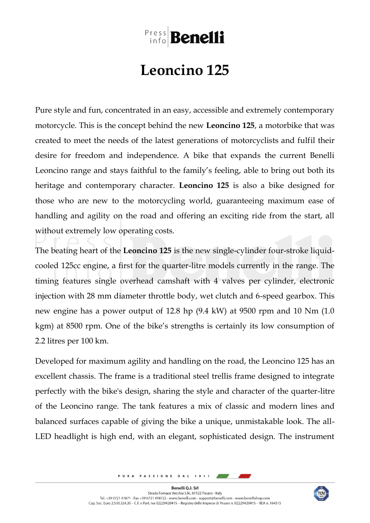## **Press Benelli**

## **Leoncino 125**

Pure style and fun, concentrated in an easy, accessible and extremely contemporary motorcycle. This is the concept behind the new **Leoncino 125**, a motorbike that was created to meet the needs of the latest generations of motorcyclists and fulfil their desire for freedom and independence. A bike that expands the current Benelli Leoncino range and stays faithful to the family's feeling, able to bring out both its heritage and contemporary character. **Leoncino 125** is also a bike designed for those who are new to the motorcycling world, guaranteeing maximum ease of handling and agility on the road and offering an exciting ride from the start, all without extremely low operating costs.

The beating heart of the **Leoncino 125** is the new single-cylinder four-stroke liquidcooled 125cc engine, a first for the quarter-litre models currently in the range. The timing features single overhead camshaft with 4 valves per cylinder, electronic injection with 28 mm diameter throttle body, wet clutch and 6-speed gearbox. This new engine has a power output of 12.8 hp (9.4 kW) at 9500 rpm and 10 Nm (1.0 kgm) at 8500 rpm. One of the bike's strengths is certainly its low consumption of 2.2 litres per 100 km.

Developed for maximum agility and handling on the road, the Leoncino 125 has an excellent chassis. The frame is a traditional steel trellis frame designed to integrate perfectly with the bike's design, sharing the style and character of the quarter-litre of the Leoncino range. The tank features a mix of classic and modern lines and balanced surfaces capable of giving the bike a unique, unmistakable look. The all-LED headlight is high end, with an elegant, sophisticated design. The instrument

> PURA PASSIONE DAL